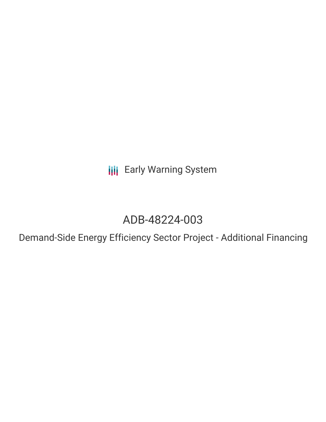**III** Early Warning System

# ADB-48224-003

Demand-Side Energy Efficiency Sector Project - Additional Financing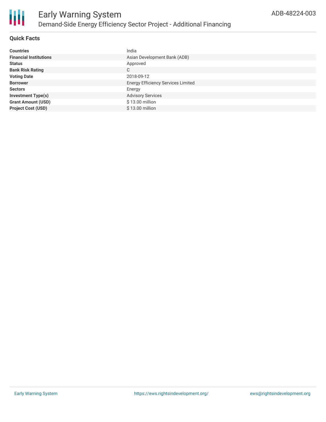

#### **Quick Facts**

| <b>Countries</b>              | India                                     |
|-------------------------------|-------------------------------------------|
| <b>Financial Institutions</b> | Asian Development Bank (ADB)              |
| <b>Status</b>                 | Approved                                  |
| <b>Bank Risk Rating</b>       | C                                         |
| <b>Voting Date</b>            | 2018-09-12                                |
| <b>Borrower</b>               | <b>Energy Efficiency Services Limited</b> |
| <b>Sectors</b>                | Energy                                    |
| <b>Investment Type(s)</b>     | <b>Advisory Services</b>                  |
| <b>Grant Amount (USD)</b>     | \$13.00 million                           |
| <b>Project Cost (USD)</b>     | \$13.00 million                           |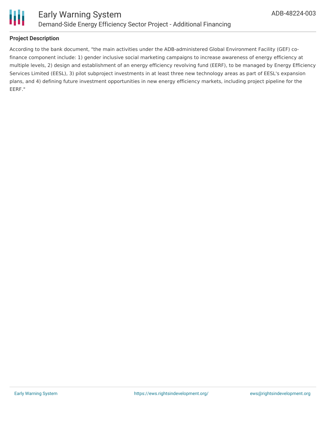

#### **Project Description**

According to the bank document, "the main activities under the ADB-administered Global Environment Facility (GEF) cofinance component include: 1) gender inclusive social marketing campaigns to increase awareness of energy efficiency at multiple levels, 2) design and establishment of an energy efficiency revolving fund (EERF), to be managed by Energy Efficiency Services Limited (EESL), 3) pilot subproject investments in at least three new technology areas as part of EESL's expansion plans, and 4) defining future investment opportunities in new energy efficiency markets, including project pipeline for the EERF."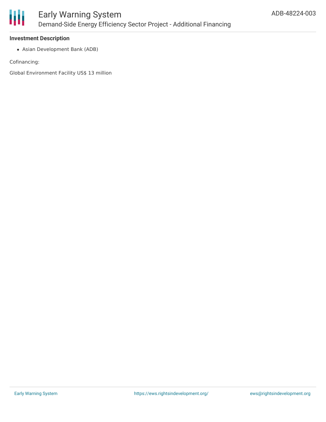

#### **Investment Description**

Asian Development Bank (ADB)

Cofinancing:

Global Environment Facility US\$ 13 million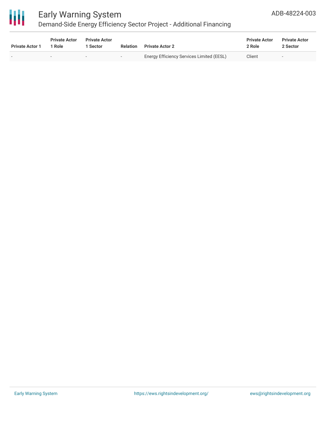

## Early Warning System

## Demand-Side Energy Efficiency Sector Project - Additional Financing

| <b>Private Actor 1</b>   | <b>Private Actor</b><br>1 Role | <b>Private Actor</b><br>Sector | <b>Relation</b>          | <b>Private Actor 2</b>                    | <b>Private Actor</b><br>2 Role | <b>Private Actor</b><br>2 Sector |
|--------------------------|--------------------------------|--------------------------------|--------------------------|-------------------------------------------|--------------------------------|----------------------------------|
| $\overline{\phantom{0}}$ |                                | $\overline{\phantom{a}}$       | $\overline{\phantom{0}}$ | Energy Efficiency Services Limited (EESL) | Client                         | $\overline{\phantom{0}}$         |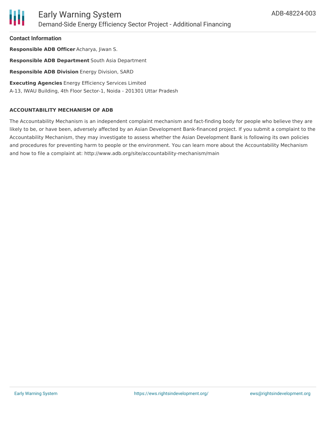

**Contact Information**

**Responsible ADB Officer** Acharya, Jiwan S. **Responsible ADB Department** South Asia Department **Responsible ADB Division** Energy Division, SARD **Executing Agencies** Energy Efficiency Services Limited A-13, IWAU Building, 4th Floor Sector-1, Noida - 201301 Uttar Pradesh

#### **ACCOUNTABILITY MECHANISM OF ADB**

The Accountability Mechanism is an independent complaint mechanism and fact-finding body for people who believe they are likely to be, or have been, adversely affected by an Asian Development Bank-financed project. If you submit a complaint to the Accountability Mechanism, they may investigate to assess whether the Asian Development Bank is following its own policies and procedures for preventing harm to people or the environment. You can learn more about the Accountability Mechanism and how to file a complaint at: http://www.adb.org/site/accountability-mechanism/main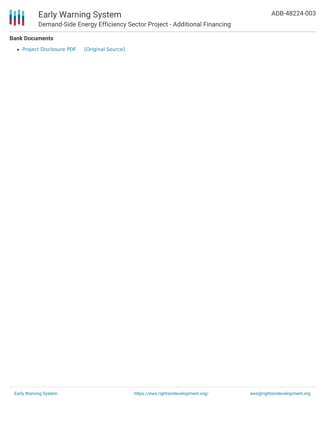

## Early Warning System Demand-Side Energy Efficiency Sector Project - Additional Financing

#### **Bank Documents**

• Project [Disclosure](https://ewsdata.rightsindevelopment.org/files/documents/03/ADB-48224-003.pdf) PDF [\[Original](https://www.adb.org/printpdf/projects/48224-003/main) Source]